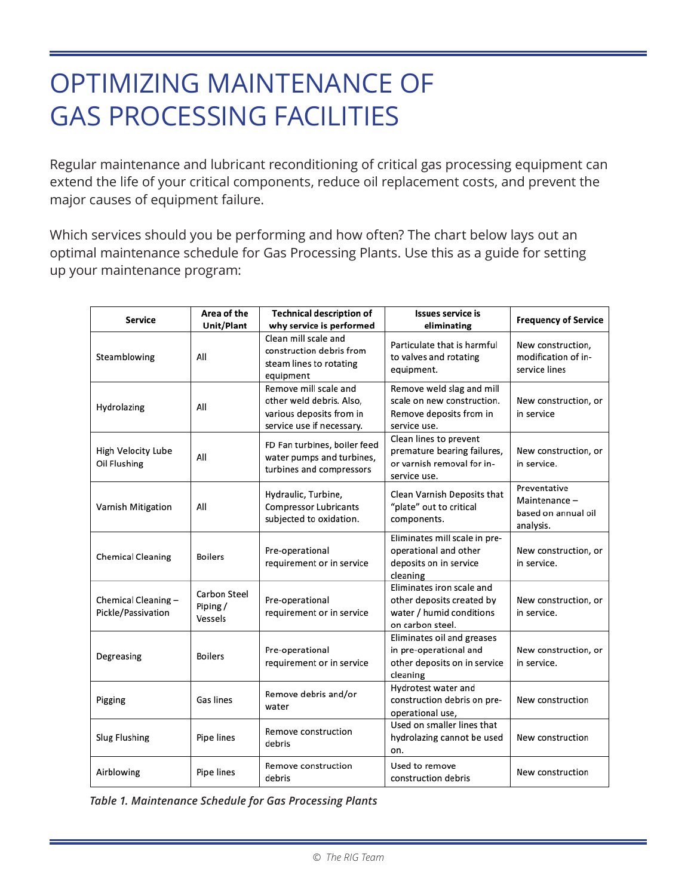## OPTIMIZING MAINTENANCE OF GAS PROCESSING FACILITIES

Regular maintenance and lubricant reconditioning of critical gas processing equipment can extend the life of your critical components, reduce oil replacement costs, and prevent the major causes of equipment failure.

Which services should you be performing and how often? The chart below lays out an optimal maintenance schedule for Gas Processing Plants. Use this as a guide for setting up your maintenance program:

| Service                                  | Area of the<br>Unit/Plant           | <b>Technical description of</b><br>why service is performed                                                | <b>Issues service is</b><br>eliminating                                                                | <b>Frequency of Service</b>                                      |
|------------------------------------------|-------------------------------------|------------------------------------------------------------------------------------------------------------|--------------------------------------------------------------------------------------------------------|------------------------------------------------------------------|
| Steamblowing                             | All                                 | Clean mill scale and<br>construction debris from<br>steam lines to rotating<br>equipment                   | Particulate that is harmful<br>to valves and rotating<br>equipment.                                    | New construction,<br>modification of in-<br>service lines        |
| Hydrolazing                              | All                                 | Remove mill scale and<br>other weld debris. Also,<br>various deposits from in<br>service use if necessary. | Remove weld slag and mill<br>scale on new construction.<br>Remove deposits from in<br>service use.     | New construction, or<br>in service                               |
| High Velocity Lube<br>Oil Flushing       | All                                 | FD Fan turbines, boiler feed<br>water pumps and turbines,<br>turbines and compressors                      | Clean lines to prevent<br>premature bearing failures,<br>or varnish removal for in-<br>service use.    | New construction, or<br>in service.                              |
| Varnish Mitigation                       | All                                 | Hydraulic, Turbine,<br><b>Compressor Lubricants</b><br>subjected to oxidation.                             | Clean Varnish Deposits that<br>"plate" out to critical<br>components.                                  | Preventative<br>Maintenance-<br>based on annual oil<br>analysis. |
| <b>Chemical Cleaning</b>                 | <b>Boilers</b>                      | Pre-operational<br>requirement or in service                                                               | Eliminates mill scale in pre-<br>operational and other<br>deposits on in service<br>cleaning           | New construction, or<br>in service.                              |
| Chemical Cleaning-<br>Pickle/Passivation | Carbon Steel<br>Piping /<br>Vessels | Pre-operational<br>requirement or in service                                                               | Eliminates iron scale and<br>other deposits created by<br>water / humid conditions<br>on carbon steel. | New construction, or<br>in service.                              |
| Degreasing                               | <b>Boilers</b>                      | Pre-operational<br>requirement or in service                                                               | Eliminates oil and greases<br>in pre-operational and<br>other deposits on in service<br>cleaning       | New construction, or<br>in service.                              |
| Pigging                                  | Gas lines                           | Remove debris and/or<br>water                                                                              | Hydrotest water and<br>construction debris on pre-<br>operational use,                                 | New construction                                                 |
| Slug Flushing                            | Pipe lines                          | Remove construction<br>debris                                                                              | Used on smaller lines that<br>hydrolazing cannot be used<br>on.                                        | New construction                                                 |
| Airblowing                               | Pipe lines                          | Remove construction<br>debris                                                                              | Used to remove<br>construction debris                                                                  | New construction                                                 |

*Table 1. Maintenance Schedule for Gas Processing Plants*